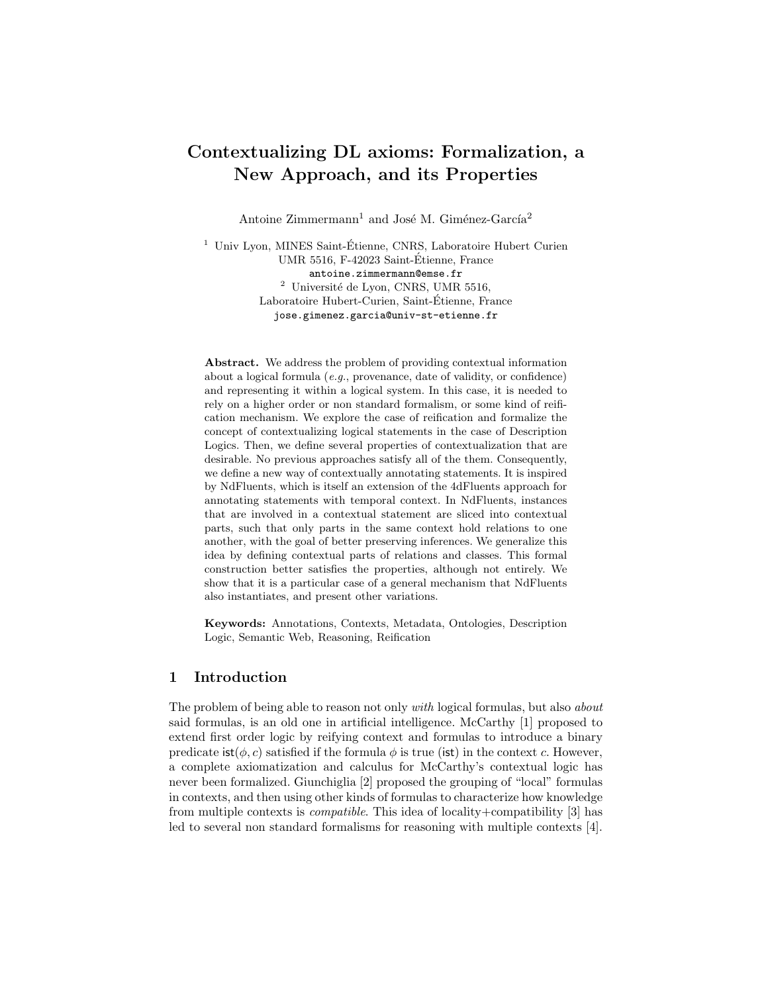# Contextualizing DL axioms: Formalization, a New Approach, and its Properties

Antoine  $Zimmerman<sup>1</sup>$  and José M. Giménez-García<sup>2</sup>

<sup>1</sup> Univ Lyon, MINES Saint-Étienne, CNRS, Laboratoire Hubert Curien UMR 5516, F-42023 Saint-Etienne, France ´ antoine.zimmermann@emse.fr  $^2\,$ Université de Lyon, CNRS, UMR 5516, Laboratoire Hubert-Curien, Saint-Etienne, France ´ jose.gimenez.garcia@univ-st-etienne.fr

Abstract. We address the problem of providing contextual information about a logical formula (e.g., provenance, date of validity, or confidence) and representing it within a logical system. In this case, it is needed to rely on a higher order or non standard formalism, or some kind of reification mechanism. We explore the case of reification and formalize the concept of contextualizing logical statements in the case of Description Logics. Then, we define several properties of contextualization that are desirable. No previous approaches satisfy all of the them. Consequently, we define a new way of contextually annotating statements. It is inspired by NdFluents, which is itself an extension of the 4dFluents approach for annotating statements with temporal context. In NdFluents, instances that are involved in a contextual statement are sliced into contextual parts, such that only parts in the same context hold relations to one another, with the goal of better preserving inferences. We generalize this idea by defining contextual parts of relations and classes. This formal construction better satisfies the properties, although not entirely. We show that it is a particular case of a general mechanism that NdFluents also instantiates, and present other variations.

Keywords: Annotations, Contexts, Metadata, Ontologies, Description Logic, Semantic Web, Reasoning, Reification

#### 1 Introduction

The problem of being able to reason not only *with* logical formulas, but also *about* said formulas, is an old one in artificial intelligence. McCarthy [1] proposed to extend first order logic by reifying context and formulas to introduce a binary predicate  $\text{ist}(\phi, c)$  satisfied if the formula  $\phi$  is true (ist) in the context c. However, a complete axiomatization and calculus for McCarthy's contextual logic has never been formalized. Giunchiglia [2] proposed the grouping of "local" formulas in contexts, and then using other kinds of formulas to characterize how knowledge from multiple contexts is compatible. This idea of locality+compatibility [3] has led to several non standard formalisms for reasoning with multiple contexts [4].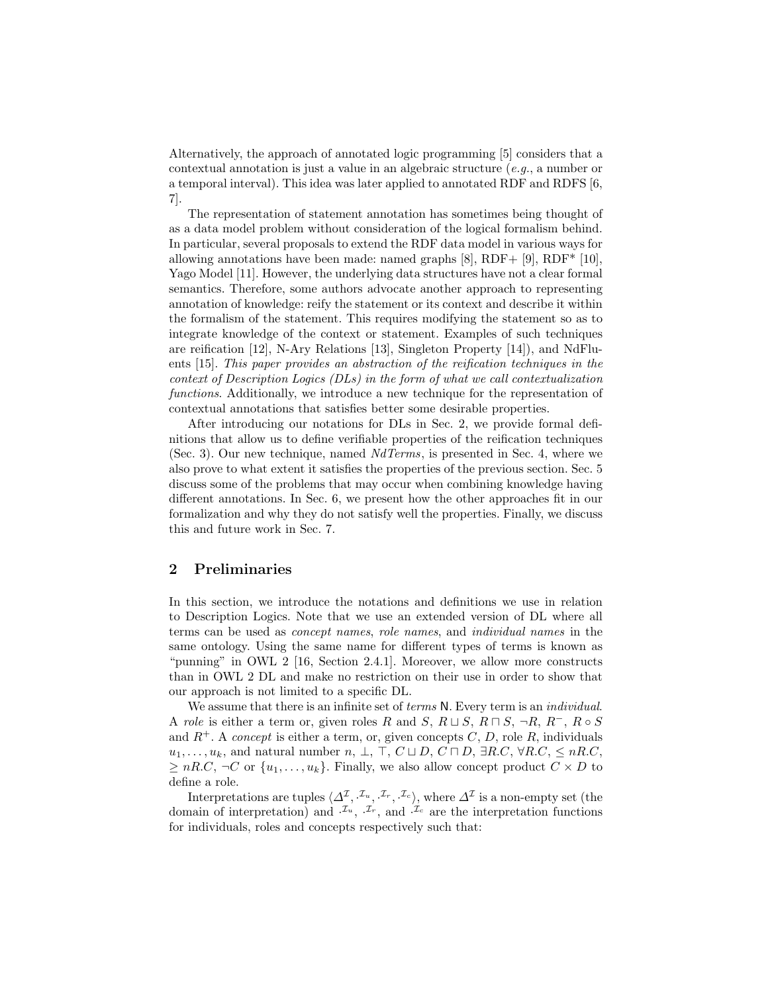Alternatively, the approach of annotated logic programming [5] considers that a contextual annotation is just a value in an algebraic structure  $(e.g., a$  number or a temporal interval). This idea was later applied to annotated RDF and RDFS [6, 7].

The representation of statement annotation has sometimes being thought of as a data model problem without consideration of the logical formalism behind. In particular, several proposals to extend the RDF data model in various ways for allowing annotations have been made: named graphs [8], RDF+ [9], RDF\* [10], Yago Model [11]. However, the underlying data structures have not a clear formal semantics. Therefore, some authors advocate another approach to representing annotation of knowledge: reify the statement or its context and describe it within the formalism of the statement. This requires modifying the statement so as to integrate knowledge of the context or statement. Examples of such techniques are reification [12], N-Ary Relations [13], Singleton Property [14]), and NdFluents [15]. This paper provides an abstraction of the reification techniques in the context of Description Logics (DLs) in the form of what we call contextualization functions. Additionally, we introduce a new technique for the representation of contextual annotations that satisfies better some desirable properties.

After introducing our notations for DLs in Sec. 2, we provide formal definitions that allow us to define verifiable properties of the reification techniques (Sec. 3). Our new technique, named NdTerms, is presented in Sec. 4, where we also prove to what extent it satisfies the properties of the previous section. Sec. 5 discuss some of the problems that may occur when combining knowledge having different annotations. In Sec. 6, we present how the other approaches fit in our formalization and why they do not satisfy well the properties. Finally, we discuss this and future work in Sec. 7.

#### 2 Preliminaries

In this section, we introduce the notations and definitions we use in relation to Description Logics. Note that we use an extended version of DL where all terms can be used as concept names, role names, and individual names in the same ontology. Using the same name for different types of terms is known as "punning" in OWL 2 [16, Section 2.4.1]. Moreover, we allow more constructs than in OWL 2 DL and make no restriction on their use in order to show that our approach is not limited to a specific DL.

We assume that there is an infinite set of *terms* N. Every term is an *individual*. A role is either a term or, given roles R and S,  $R \sqcup S$ ,  $R \sqcap S$ ,  $\neg R$ ,  $R^-, R \circ S$ and  $R^+$ . A *concept* is either a term, or, given concepts C, D, role R, individuals  $u_1, \ldots, u_k$ , and natural number  $n, \perp, \perp, C \sqcup D, C \sqcap D, \exists R.C, \forall R.C, \leq nR.C$  $\geq nR.C, \neg C$  or  $\{u_1, \ldots, u_k\}$ . Finally, we also allow concept product  $C \times D$  to define a role.

Interpretations are tuples  $\langle \Delta^{\mathcal{I}}, \cdot^{\mathcal{I}_u}, \cdot^{\mathcal{I}_r}, \cdot^{\mathcal{I}_c} \rangle$ , where  $\Delta^{\mathcal{I}}$  is a non-empty set (the domain of interpretation) and  $\mathcal{I}_u$ ,  $\mathcal{I}_r$ , and  $\mathcal{I}_c$  are the interpretation functions for individuals, roles and concepts respectively such that: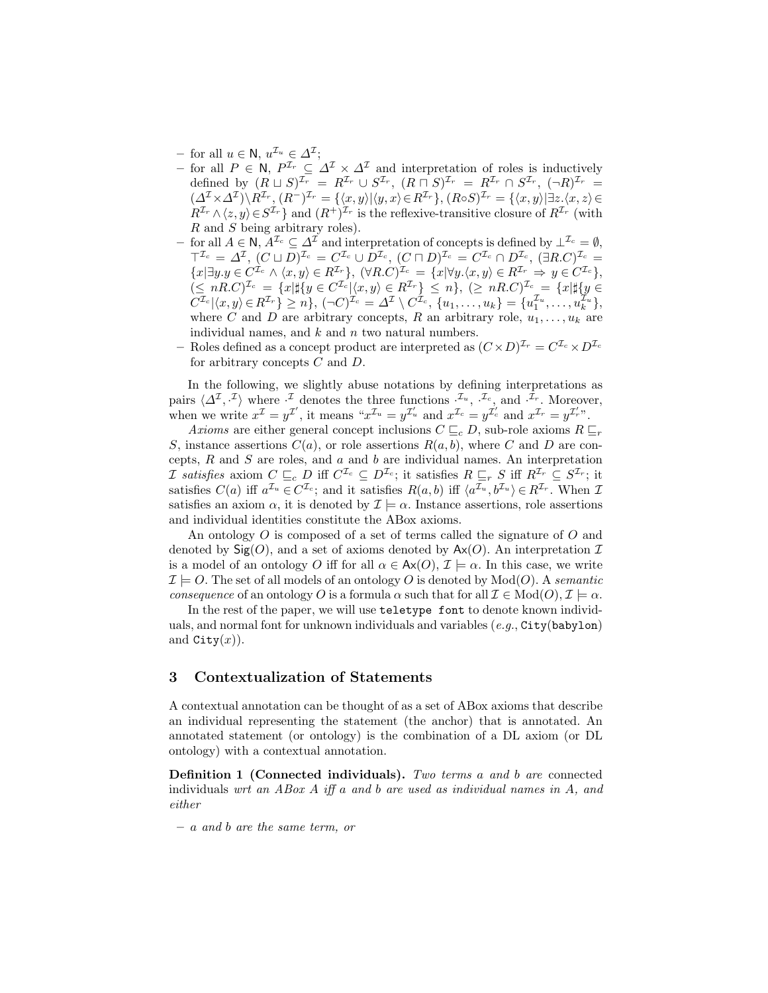- $-$  for all  $u \in \mathsf{N}$ ,  $u^{\mathcal{I}_u} \in \Delta^{\mathcal{I}}$ ;
- for all  $P \in \mathbb{N}$ ,  $P^{\mathcal{I}_r} \subseteq \Delta^{\mathcal{I}} \times \Delta^{\mathcal{I}}$  and interpretation of roles is inductively defined by  $(R \sqcup S)^{\mathcal{I}_r} = R^{\mathcal{I}_r} \cup S^{\mathcal{I}_r}$ ,  $(R \sqcap S)^{\mathcal{I}_r} = R^{\mathcal{I}_r} \cap S^{\mathcal{I}_r}$ ,  $(\neg R)^{\mathcal{I}_r} =$  $(\Delta^{\mathcal{I}} \times \Delta^{\mathcal{I}}) \backslash R^{\mathcal{I}_r}, (R^-)^{\mathcal{I}_r} = {\langle x, y \rangle | \langle y, x \rangle \in R^{\mathcal{I}_r}}}, (R \circ S)^{\mathcal{I}_r} = {\langle x, y \rangle | \exists z. \langle x, z \rangle \in R^{\mathcal{I}_r}}$  $R^{\mathcal{I}_r} \wedge \langle z, y \rangle \in S^{\mathcal{I}_r}$  and  $(R^+)^{\mathcal{I}_r}$  is the reflexive-transitive closure of  $R^{\mathcal{I}_r}$  (with R and S being arbitrary roles).
- for all  $A \in \mathsf{N}$ ,  $\check{A}^{\mathcal{I}_c} \subseteq \Delta^{\mathcal{I}}$  and interpretation of concepts is defined by  $\bot^{\mathcal{I}_c} = \emptyset$ .  $\top^{\mathcal{I}_c} = \Delta^{\mathcal{I}}, \ (C \sqcup D)^{\mathcal{I}_c} = C^{\mathcal{I}_c} \cup D^{\mathcal{I}_c}, \ (C \sqcap D)^{\mathcal{I}_c} = C^{\mathcal{I}_c} \cap D^{\mathcal{I}_c}, \ (\exists R.C)^{\mathcal{I}_c} = C^{\mathcal{I}_c}$  ${x \exists y.y \in C^{\mathcal{I}_c} \land \langle x, y \rangle \in R^{\mathcal{I}_r}}$ ,  $(\forall R.C)^{\mathcal{I}_c} = \{x | \forall y.\langle x, y \rangle \in R^{\mathcal{I}_r} \Rightarrow y \in C^{\mathcal{I}_c}\}$ ,  $(\leq nR.C)^{\mathcal{I}_c} = \{x \vert \sharp \{y \in C^{\mathcal{I}_c} \vert \langle x, y \rangle \in R^{\mathcal{I}_r}\} \leq n\}, (\geq nR.C)^{\mathcal{I}_c} = \{x \vert \sharp \{y \in C^{\mathcal{I}_c} \vert \langle x, y \rangle \in R^{\mathcal{I}_r}\} \leq n\}$  $C^{\mathcal{I}_c}\vert \langle x,y\rangle \in R^{\mathcal{I}_r}\} \geq n\}, \, (\neg C)^{\mathcal{I}_c} = \varDelta^{\mathcal{I}} \setminus C^{\tilde{\mathcal{I}}_c}, \, \{u_1,\ldots,u_k\} = \{u_1^{\mathcal{I}_u},\ldots,u_k^{\mathcal{I}_u}\},$ where C and D are arbitrary concepts, R an arbitrary role,  $u_1, \ldots, u_k$  are individual names, and  $k$  and  $n$  two natural numbers.
- Roles defined as a concept product are interpreted as  $(C \times D)^{\mathcal{I}_r} = C^{\mathcal{I}_c} \times D^{\mathcal{I}_c}$ for arbitrary concepts C and D.

In the following, we slightly abuse notations by defining interpretations as pairs  $\langle \Delta^{\mathcal{I}}, \cdot^{\mathcal{I}} \rangle$  where  $\cdot^{\mathcal{I}}$  denotes the three functions  $\cdot^{\mathcal{I}_u}, \cdot^{\mathcal{I}_c}$ , and  $\cdot^{\mathcal{I}_r}$ . Moreover, when we write  $x^{\mathcal{I}} = y^{\mathcal{I}'},$  it means " $x^{\mathcal{I}_u} = y^{\mathcal{I}'_u}$  and  $x^{\mathcal{I}_c} = y^{\mathcal{I}'_c}$  and  $x^{\mathcal{I}_r} = y^{\mathcal{I}'_r}$ ".

Axioms are either general concept inclusions  $C \sqsubseteq_c D$ , sub-role axioms  $R \sqsubseteq_r P$ S, instance assertions  $C(a)$ , or role assertions  $R(a, b)$ , where C and D are concepts,  $R$  and  $S$  are roles, and  $a$  and  $b$  are individual names. An interpretation *I* satisfies axiom  $C \sqsubseteq_c D$  iff  $C^{\mathcal{I}_c} \subseteq D^{\mathcal{I}_c}$ ; it satisfies  $R \sqsubseteq_r S$  iff  $R^{\mathcal{I}_r} \subseteq S^{\mathcal{I}_r}$ ; it satisfies  $C(a)$  iff  $a^{\mathcal{I}_u} \in C^{\mathcal{I}_c}$ ; and it satisfies  $R(a, b)$  iff  $\langle a^{\mathcal{I}_u}, b^{\mathcal{I}_u} \rangle \in R^{\mathcal{I}_r}$ . When  $\mathcal{I}$ satisfies an axiom  $\alpha$ , it is denoted by  $\mathcal{I} \models \alpha$ . Instance assertions, role assertions and individual identities constitute the ABox axioms.

An ontology O is composed of a set of terms called the signature of O and denoted by  $\text{Sig}(O)$ , and a set of axioms denoted by  $\text{Ax}(O)$ . An interpretation  $\mathcal I$ is a model of an ontology O iff for all  $\alpha \in Ax(O), \mathcal{I} \models \alpha$ . In this case, we write  $\mathcal{I} \models O$ . The set of all models of an ontology O is denoted by  $Mod(O)$ . A semantic consequence of an ontology O is a formula  $\alpha$  such that for all  $\mathcal{I} \in Mod(O), \mathcal{I} \models \alpha$ .

In the rest of the paper, we will use teletype font to denote known individuals, and normal font for unknown individuals and variables  $(e,q,\text{City}(\text{babylon})$ and  $\texttt{City}(x)$ ).

#### 3 Contextualization of Statements

A contextual annotation can be thought of as a set of ABox axioms that describe an individual representing the statement (the anchor) that is annotated. An annotated statement (or ontology) is the combination of a DL axiom (or DL ontology) with a contextual annotation.

Definition 1 (Connected individuals). Two terms a and b are connected individuals wrt an ABox  $A$  iff a and b are used as individual names in  $A$ , and either

– a and b are the same term, or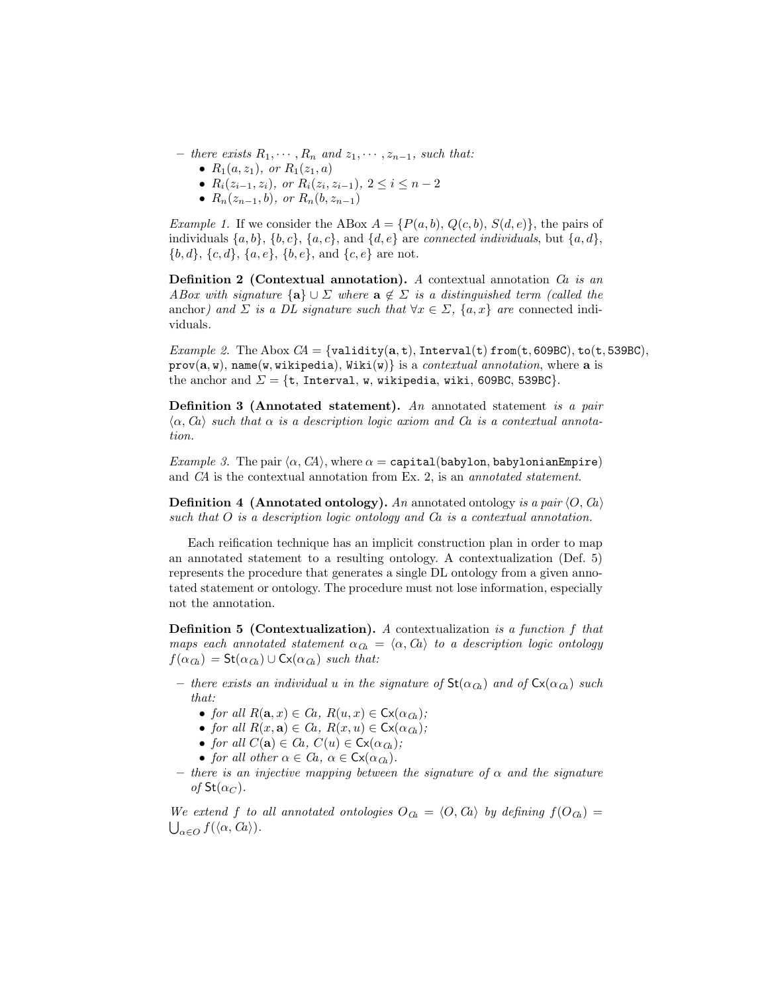- there exists  $R_1, \cdots, R_n$  and  $z_1, \cdots, z_{n-1}$ , such that:
	- $R_1(a, z_1)$ , or  $R_1(z_1, a)$
	- $R_i(z_{i-1}, z_i)$ , or  $R_i(z_i, z_{i-1})$ ,  $2 \le i \le n-2$
	- $R_n(z_{n-1}, b)$ , or  $R_n(b, z_{n-1})$

*Example 1.* If we consider the ABox  $A = \{P(a, b), Q(c, b), S(d, e)\}\)$ , the pairs of individuals  $\{a, b\}, \{b, c\}, \{a, c\}, \text{and } \{d, e\}$  are *connected individuals*, but  $\{a, d\},\$  ${b, d}, {c, d}, {a, e}, {b, e}, \text{and } {c, e} \text{ are not.}$ 

**Definition 2 (Contextual annotation).** A contextual annotation  $\hat{C}$  is an ABox with signature  $\{a\} \cup \Sigma$  where  $a \notin \Sigma$  is a distinguished term (called the anchor) and  $\Sigma$  is a DL signature such that  $\forall x \in \Sigma$ ,  $\{a, x\}$  are connected individuals.

Example 2. The Abox  $CA = \{validity(a, t), Interval(t) from(t, 609BC), to(t, 539BC),\}$  $prov(a, w)$ , name(w, wikipedia), Wiki(w)} is a *contextual annotation*, where a is the anchor and  $\Sigma = \{t,$  Interval, w, wikipedia, wiki, 609BC, 539BC}.

Definition 3 (Annotated statement). An annotated statement is a pair  $\langle \alpha, Ca \rangle$  such that  $\alpha$  is a description logic axiom and  $Ca$  is a contextual annotation.

Example 3. The pair  $\langle \alpha, C\hspace{-0.1cm}A \rangle$ , where  $\alpha = \texttt{capital}(\texttt{babylon}, \texttt{babylonianEmpire})$ and CA is the contextual annotation from Ex. 2, is an annotated statement.

**Definition 4 (Annotated ontology).** An annotated ontology is a pair  $\langle O, Ca \rangle$ such that O is a description logic ontology and Ca is a contextual annotation.

Each reification technique has an implicit construction plan in order to map an annotated statement to a resulting ontology. A contextualization (Def. 5) represents the procedure that generates a single DL ontology from a given annotated statement or ontology. The procedure must not lose information, especially not the annotation.

Definition 5 (Contextualization). A contextualization is a function f that maps each annotated statement  $\alpha_{\text{Ca}} = \langle \alpha, \alpha \rangle$  to a description logic ontology  $f(\alpha_{\text{Ca}}) = \mathsf{St}(\alpha_{\text{Ca}}) \cup \mathsf{Cx}(\alpha_{\text{Ca}})$  such that:

- there exists an individual u in the signature of  $St(\alpha_{\text{Ga}})$  and of  $Cx(\alpha_{\text{Ga}})$  such that:
	- for all  $R(\mathbf{a}, x) \in Ca$ ,  $R(u, x) \in C_{\mathsf{X}}(\alpha_{\mathsf{G}_n})$ ;
	- for all  $R(x, a) \in Ca$ ,  $R(x, u) \in C_x(\alpha_G)$ ;
	- for all  $C(\mathbf{a}) \in Ca$ ,  $C(u) \in \mathsf{Cx}(\alpha_{\mathcal{C}_h})$ ;
	- for all other  $\alpha \in Ca$ ,  $\alpha \in \mathsf{Cx}(\alpha_{\mathbb{G}_k})$ .
- there is an injective mapping between the signature of  $\alpha$  and the signature of  $St(\alpha_C)$ .

We extend f to all annotated ontologies  $O_{\text{Ca}} = \langle O, G \rangle$  by defining  $f(O_{\text{Ca}}) =$  $\bigcup_{\alpha\in O}f(\langle \alpha, Ca\rangle).$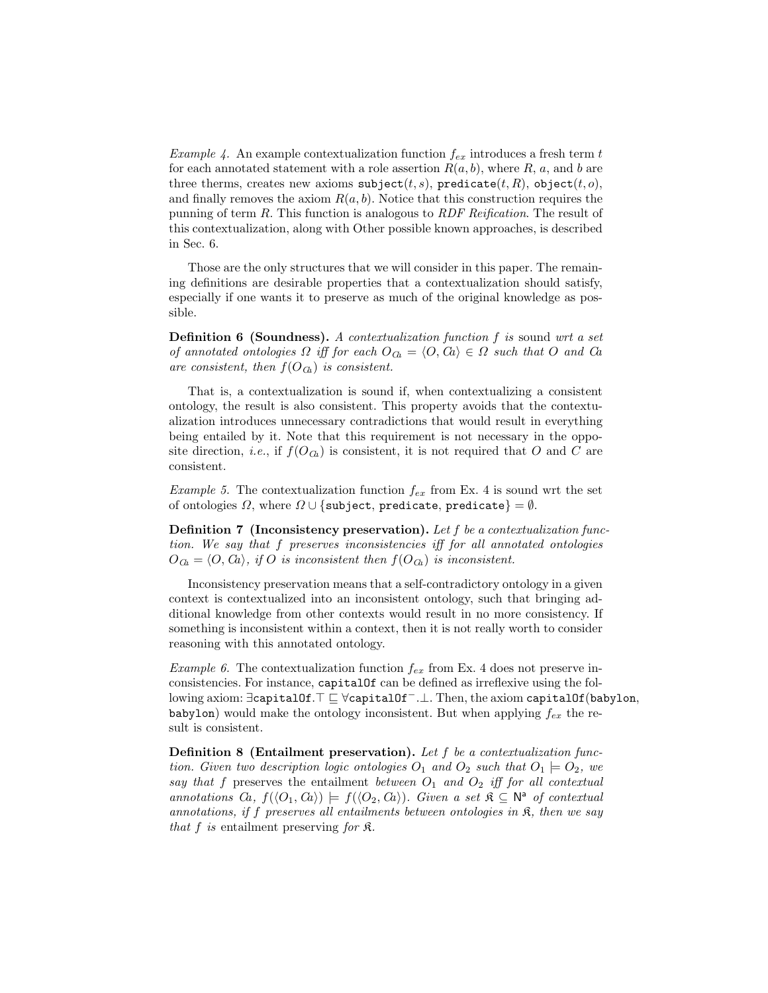*Example 4.* An example contextualization function  $f_{ex}$  introduces a fresh term t for each annotated statement with a role assertion  $R(a, b)$ , where R, a, and b are three therms, creates new axioms  $\text{subject}(t, s)$ ,  $\text{predicate}(t, R)$ ,  $\text{object}(t, o)$ , and finally removes the axiom  $R(a, b)$ . Notice that this construction requires the punning of term R. This function is analogous to RDF Reification. The result of this contextualization, along with Other possible known approaches, is described in Sec. 6.

Those are the only structures that we will consider in this paper. The remaining definitions are desirable properties that a contextualization should satisfy, especially if one wants it to preserve as much of the original knowledge as possible.

Definition 6 (Soundness). A contextualization function f is sound wrt a set of annotated ontologies  $\Omega$  iff for each  $O_{\text{Ca}} = \langle O, \text{Ca} \rangle \in \Omega$  such that O and Ca are consistent, then  $f(O_{\text{G}})$  is consistent.

That is, a contextualization is sound if, when contextualizing a consistent ontology, the result is also consistent. This property avoids that the contextualization introduces unnecessary contradictions that would result in everything being entailed by it. Note that this requirement is not necessary in the opposite direction, *i.e.*, if  $f(O_{G})$  is consistent, it is not required that O and C are consistent.

*Example 5.* The contextualization function  $f_{ex}$  from Ex. 4 is sound wrt the set of ontologies  $\Omega$ , where  $\Omega \cup \{\text{subject, predicate}, \text{predicate}\} = \emptyset$ .

**Definition 7** (Inconsistency preservation). Let f be a contextualization function. We say that f preserves inconsistencies iff for all annotated ontologies  $O_{\text{Ca}} = \langle O, G \rangle$ , if O is inconsistent then  $f(O_{\text{Ca}})$  is inconsistent.

Inconsistency preservation means that a self-contradictory ontology in a given context is contextualized into an inconsistent ontology, such that bringing additional knowledge from other contexts would result in no more consistency. If something is inconsistent within a context, then it is not really worth to consider reasoning with this annotated ontology.

*Example 6.* The contextualization function  $f_{ex}$  from Ex. 4 does not preserve inconsistencies. For instance, capitalOf can be defined as irreflexive using the following axiom: ∃capitalOf.  $\top \sqsubseteq \forall$ capitalOf<sup>-</sup>.⊥. Then, the axiom capitalOf(babylon, babylon) would make the ontology inconsistent. But when applying  $f_{ex}$  the result is consistent.

Definition 8 (Entailment preservation). Let f be a contextualization function. Given two description logic ontologies  $O_1$  and  $O_2$  such that  $O_1 \models O_2$ , we say that f preserves the entailment between  $O_1$  and  $O_2$  iff for all contextual annotations  $Ca, f(\langle O_1, Ca \rangle) \models f(\langle O_2, Ca \rangle)$ . Given a set  $\mathfrak{K} \subseteq \mathbb{N}^{\mathsf{a}}$  of contextual annotations, if f preserves all entailments between ontologies in  $\mathfrak{K}$ , then we say that  $f$  is entailment preserving for  $\mathfrak{K}$ .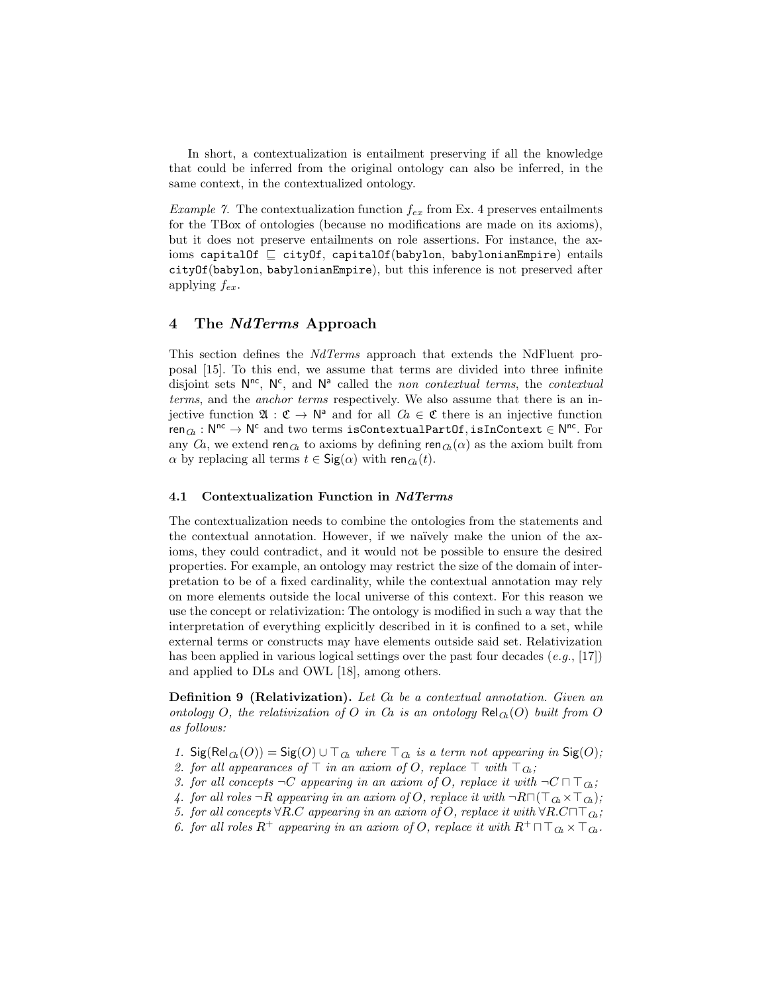In short, a contextualization is entailment preserving if all the knowledge that could be inferred from the original ontology can also be inferred, in the same context, in the contextualized ontology.

*Example 7.* The contextualization function  $f_{ex}$  from Ex. 4 preserves entailments for the TBox of ontologies (because no modifications are made on its axioms), but it does not preserve entailments on role assertions. For instance, the axioms capitalOf  $\sqsubset$  cityOf, capitalOf(babylon, babylonianEmpire) entails cityOf(babylon, babylonianEmpire), but this inference is not preserved after applying  $f_{ex}$ .

# 4 The NdTerms Approach

This section defines the NdTerms approach that extends the NdFluent proposal [15]. To this end, we assume that terms are divided into three infinite disjoint sets  $N^{nc}$ ,  $N^{c}$ , and  $N^{a}$  called the non contextual terms, the contextual terms, and the anchor terms respectively. We also assume that there is an injective function  $\mathfrak{A} : \mathfrak{C} \to \mathbb{N}^{\mathsf{a}}$  and for all  $Ca \in \mathfrak{C}$  there is an injective function  $\mathsf{ren}_{\mathit{Ch}}: \mathsf{N}^{\mathsf{nc}} \to \mathsf{N}^{\mathsf{c}}$  and two terms <code>isContextualPartOf</code>,isInContext  $\in \mathsf{N}^{\mathsf{nc}}.$  For any  $Ca$ , we extend ren<sub> $Ca$ </sub> to axioms by defining ren $_{Ca}(\alpha)$  as the axiom built from  $\alpha$  by replacing all terms  $t \in \text{Sig}(\alpha)$  with ren $\alpha(t)$ .

#### 4.1 Contextualization Function in NdTerms

The contextualization needs to combine the ontologies from the statements and the contextual annotation. However, if we naïvely make the union of the axioms, they could contradict, and it would not be possible to ensure the desired properties. For example, an ontology may restrict the size of the domain of interpretation to be of a fixed cardinality, while the contextual annotation may rely on more elements outside the local universe of this context. For this reason we use the concept or relativization: The ontology is modified in such a way that the interpretation of everything explicitly described in it is confined to a set, while external terms or constructs may have elements outside said set. Relativization has been applied in various logical settings over the past four decades  $(e.g., [17])$ and applied to DLs and OWL [18], among others.

Definition 9 (Relativization). Let Ca be a contextual annotation. Given an ontology O, the relativization of O in Ca is an ontology  $\text{Rel}_{G}(O)$  built from O as follows:

- 1. Sig(Rel $_G(O)$ ) = Sig(O)  $\cup \top_{G}$  where  $\top_{G}$  is a term not appearing in Sig(O);
- 2. for all appearances of  $\top$  in an axiom of O, replace  $\top$  with  $\top_{\text{Ga}}$ ;
- 3. for all concepts  $\neg C$  appearing in an axiom of O, replace it with  $\neg C \sqcap \top_{\mathcal{C}_k}$ ;
- 4. for all roles  $\neg R$  appearing in an axiom of O, replace it with  $\neg R \sqcap (\top_{\mathcal{C}_R} \times \top_{\mathcal{C}_R})$ ;
- 5. for all concepts  $\forall R.C$  appearing in an axiom of O, replace it with  $\forall R.C \sqcap \top_{\mathcal{C}_k}$ ;
- 6. for all roles  $R^+$  appearing in an axiom of O, replace it with  $R^+ \sqcap \sqcap_{\mathcal{C}_k} \times \sqcap_{\mathcal{C}_k}$ .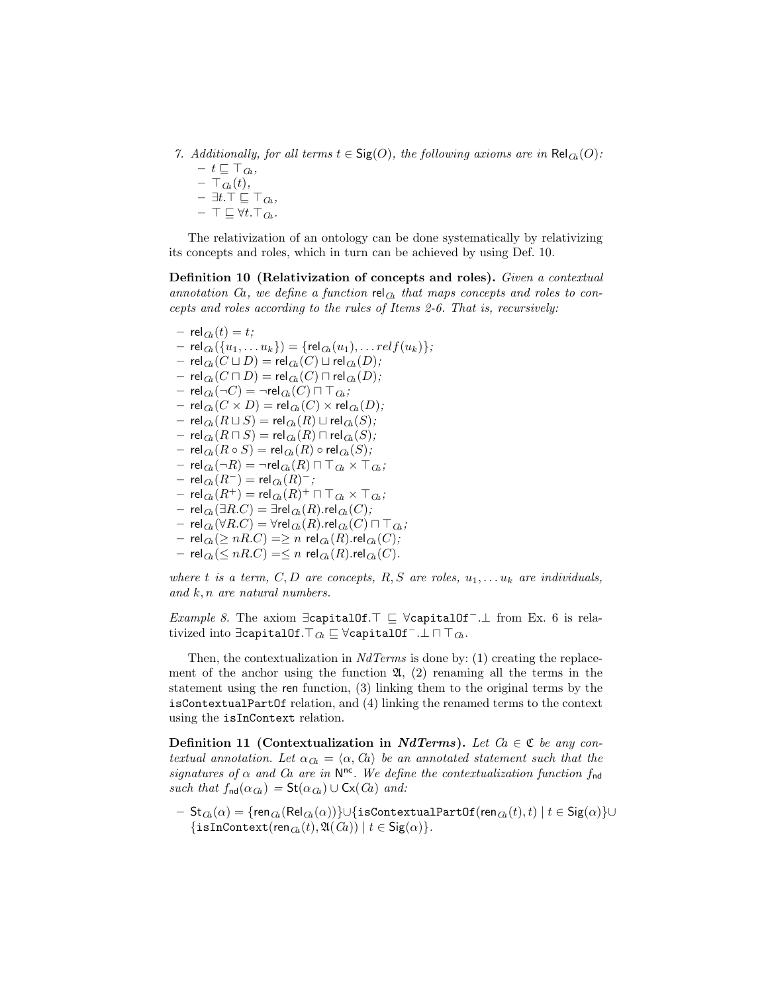7. Additionally, for all terms  $t \in \text{Sig}(O)$ , the following axioms are in  $\text{Rel}_{\text{Ch}}(O)$ :

 $- t \sqsubseteq \top_{\mathcal{C}}$  $- \top_{\mathcal{C}}(t),$ – ∃ $t.\top$  ⊑  $\top$  $\alpha$ ,  $- \top \sqsubseteq \forall t. \top_{\mathcal{C}_h}$ .

The relativization of an ontology can be done systematically by relativizing its concepts and roles, which in turn can be achieved by using Def. 10.

Definition 10 (Relativization of concepts and roles). Given a contextual annotation Ca, we define a function rel<sub>Ca</sub> that maps concepts and roles to concepts and roles according to the rules of Items 2-6. That is, recursively:

 $-$  rel $_{G_{i}}(t) = t;$  $-$  rel $_{G_k}(\{u_1, \ldots u_k\}) = \{$ rel $_{G_k}(u_1), \ldots$ rel $f(u_k)\};$  $-$  rel $_{G_a}(C \sqcup D)$  = rel $_{G_a}(C) \sqcup$  rel $_{G_a}(D)$ ;  $-$  rel $_{G\!a}(C\sqcap D)$  = rel $_{G\!a}(C)\sqcap$  rel $_{G\!a}(D);$  $-$  rel $_{G_a}(\neg C)$  =  $\neg$ rel $_{G_a}(C)$   $\sqcap \top_{G_a}$ ;  $-$  rel $_{G\!a}(C \times D)$  = rel $_{G\!a}(C) \times$  rel $_{G\!a}(D)$ ;  $-$  rel $_{G\!a}(R \sqcup S)$  = rel $_{G\!a}(R) \sqcup$  rel $_{G\!a}(S);$  $-$  rel $_{G_{1}}(R\sqcap S)$  = rel $_{G_{1}}(R)\sqcap$  rel $_{G_{1}}(S);$ – rel $_{G_{1}}(R \circ S)$  = rel $_{G_{1}}(R) \circ$  rel $_{G_{1}}(S)$ ;  $-$  rel $_{G_a}(\neg R)$  =  $\neg$ rel $_{G_a}(R)$   $\sqcap \top_{G_a} \times \top_{G_a}$ ;  $-$  rel $_{\mathcal{C}\!a}(R^-)$   $=$  rel $_{\mathcal{C}\!a}(R)^-,$  $\left. \mathsf{rel}_{\mathit{Ca}}(R^+) = \mathsf{rel}_{\mathit{Ca}}(R)^+ \sqcap \top_{\mathit{Ca}} \times \top_{\mathit{Ca}}; \right.$  $-$  rel $_{Ga}(\exists R.C) = \exists$ rel $_{Ga}(R)$ .rel $_{Ga}(C)$ ; – rel $_{G_{k}}(\forall R.C)$  =  $\forall$ rel $_{G_{k}}(R)$ .rel $_{G_{k}}(C)$   $\sqcap \top_{G_{k}}$ ; – rel $_{G_{\!L}}(\geq nR.C)$  =  $\geq n$  rel $_{G_{\!L}}(R).$ rel $_{G_{\!L}}(C);$  $-$  rel $_{G_l}(\leq nR.C) = \leq n$  rel $_{G_l}(R)$ .rel $_{G_l}(C)$ .

where t is a term, C, D are concepts, R, S are roles,  $u_1, \ldots u_k$  are individuals, and k, n are natural numbers.

*Example 8*. The axiom  $\exists$ capitalOf.<sup>T</sup>  $\sqsubseteq$   $\forall$ capitalOf<sup>-</sup>.⊥ from Ex. 6 is relativized into ∃capitalOf. $\top_{\mathcal{C}_a} \sqsubseteq \forall$ capitalOf $\top \bot \sqcap \top_{\mathcal{C}_a}$ .

Then, the contextualization in  $NdTerms$  is done by: (1) creating the replacement of the anchor using the function  $\mathfrak{A}$ , (2) renaming all the terms in the statement using the ren function, (3) linking them to the original terms by the isContextualPartOf relation, and (4) linking the renamed terms to the context using the isInContext relation.

Definition 11 (Contextualization in NdTerms). Let  $Ca \in \mathfrak{C}$  be any contextual annotation. Let  $\alpha_{\text{Ca}} = \langle \alpha, \alpha \rangle$  be an annotated statement such that the signatures of  $\alpha$  and  $Ca$  are in  $N^{nc}$ . We define the contextualization function  $f_{nd}$ such that  $f_{\text{nd}}(\alpha_{\text{Ch}}) = \mathsf{St}(\alpha_{\text{Ch}}) \cup \mathsf{Cx}(\text{Ca})$  and:

 $-$  St $_{Ga}(\alpha) =$  {ren $_{Ga}(\text{Rel}_{Ga}(\alpha))$ }∪{isContextualPartOf(ren $_{Ga}(t), t)$  |  $t \in$  Sig $(\alpha)$ }∪ { $\{isInContext(ren_{\mathcal{C}_k}(t), \mathfrak{A}(\mathcal{C}_k)) | t \in Sig(\alpha)\}.$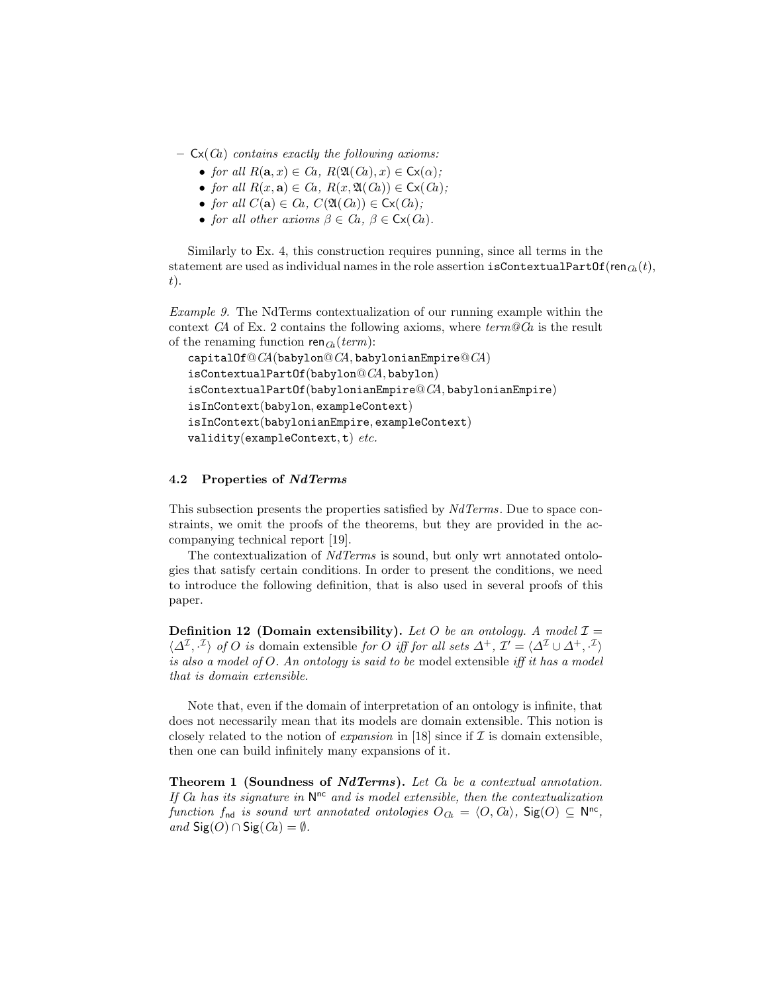- $-$  Cx(*Ca*) contains exactly the following axioms:
	- for all  $R(\mathbf{a}, x) \in Ca$ ,  $R(\mathfrak{A}(Ca), x) \in C_{\mathsf{X}}(\alpha)$ ;
	- for all  $R(x, a) \in Ca$ ,  $R(x, \mathfrak{A}(Ca)) \in C_x(G)$ ;
	- for all  $C(\mathbf{a}) \in Ca$ ,  $C(\mathfrak{A}(Ca)) \in C(\mathfrak{C}(Ca))$ ;
	- for all other axioms  $\beta \in Ca$ ,  $\beta \in C_x(G)$ .

Similarly to Ex. 4, this construction requires punning, since all terms in the statement are used as individual names in the role assertion is ContextualPartOf(ren $_{G_{k}}(t)$ ,  $t$ ).

Example 9. The NdTerms contextualization of our running example within the context CA of Ex. 2 contains the following axioms, where  $term@Ca$  is the result of the renaming function ren $_{\text{Ca}}(term)$ :

```
capitalOf@<sup>C</sup>A(babylon@<sup>C</sup>A, babylonianEmpire@<sup>C</sup>A)
isContextualPartOf(babylon@CA, babylon)isContextualPartOf(babylonianEmpire@CA, babylonianEmpire)
isInContext(babylon, exampleContext)
isInContext(babylonianEmpire, exampleContext)
validity(exampleContext, t) etc.
```
#### 4.2 Properties of NdTerms

This subsection presents the properties satisfied by  $NdTerms$ . Due to space constraints, we omit the proofs of the theorems, but they are provided in the accompanying technical report [19].

The contextualization of NdTerms is sound, but only wrt annotated ontologies that satisfy certain conditions. In order to present the conditions, we need to introduce the following definition, that is also used in several proofs of this paper.

**Definition 12 (Domain extensibility).** Let O be an ontology. A model  $\mathcal{I} =$  $\langle \Delta^{\mathcal{I}}, \cdot^{\mathcal{I}} \rangle$  of O is domain extensible for O iff for all sets  $\Delta^+$ ,  $\mathcal{I}' = \langle \Delta^{\mathcal{I}} \cup \Delta^+, \cdot^{\mathcal{I}} \rangle$ is also a model of O. An ontology is said to be model extensible iff it has a model that is domain extensible.

Note that, even if the domain of interpretation of an ontology is infinite, that does not necessarily mean that its models are domain extensible. This notion is closely related to the notion of *expansion* in [18] since if  $\mathcal I$  is domain extensible, then one can build infinitely many expansions of it.

Theorem 1 (Soundness of NdTerms). Let Ca be a contextual annotation. If  $Ca$  has its signature in  $N^{nc}$  and is model extensible, then the contextualization function  $f_{\text{nd}}$  is sound wrt annotated ontologies  $O_{\text{Ca}} = \langle O, G \rangle$ , Sig $(O) \subseteq \mathbb{N}^{\text{nc}}$ , and  $\text{Sig}(O) \cap \text{Sig}(Ca) = \emptyset$ .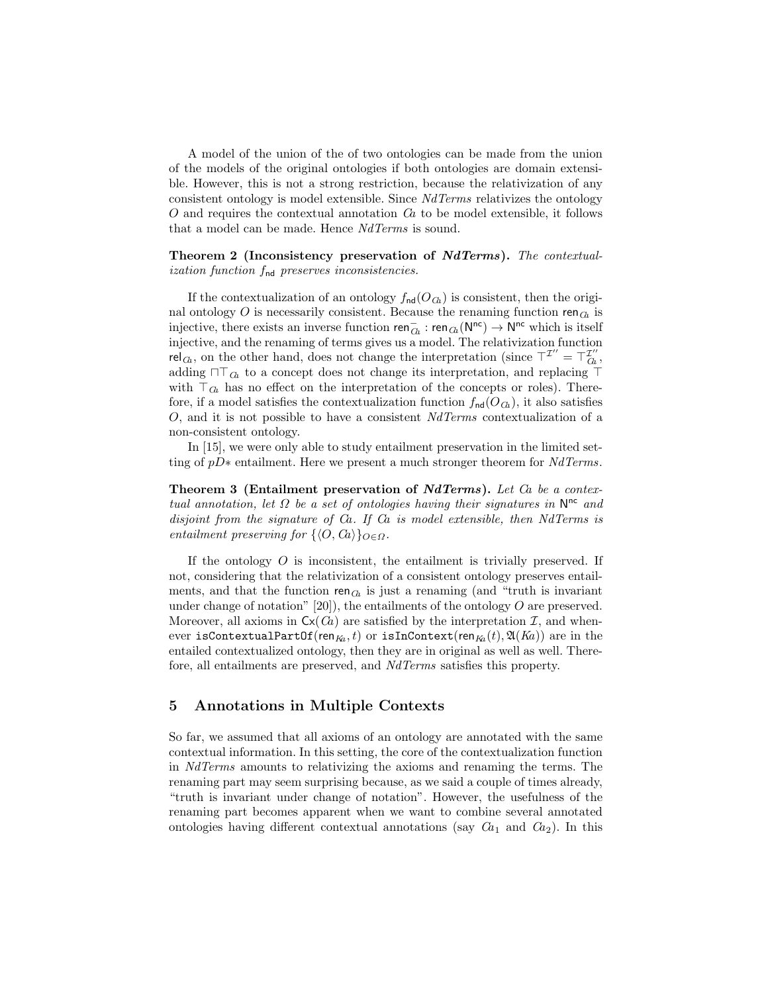A model of the union of the of two ontologies can be made from the union of the models of the original ontologies if both ontologies are domain extensible. However, this is not a strong restriction, because the relativization of any consistent ontology is model extensible. Since NdTerms relativizes the ontology  $O$  and requires the contextual annotation  $Ca$  to be model extensible, it follows that a model can be made. Hence NdTerms is sound.

Theorem 2 (Inconsistency preservation of NdTerms). The contextualization function fnd preserves inconsistencies.

If the contextualization of an ontology  $f_{\text{nd}}(O_{G_{h}})$  is consistent, then the original ontology O is necessarily consistent. Because the renaming function ren $\sigma$  is injective, there exists an inverse function  $\mathsf{ren}_{\bar{G}k} : \mathsf{ren}_{\bar{G}k}(\mathsf{N}^{\mathsf{nc}}) \to \mathsf{N}^{\mathsf{nc}}$  which is itself injective, and the renaming of terms gives us a model. The relativization function rel<sub> $\alpha$ </sub>, on the other hand, does not change the interpretation (since  $T^{\mathcal{I}'} = T^{\mathcal{I}'}_{\alpha}$ , adding  $\sqcap \top_G$  to a concept does not change its interpretation, and replacing  $\top$ with  $\top_{\mathcal{G}_k}$  has no effect on the interpretation of the concepts or roles). Therefore, if a model satisfies the contextualization function  $f_{nd}(O_{\text{C}_n})$ , it also satisfies O, and it is not possible to have a consistent NdTerms contextualization of a non-consistent ontology.

In [15], we were only able to study entailment preservation in the limited setting of pD∗ entailment. Here we present a much stronger theorem for NdTerms.

Theorem 3 (Entailment preservation of NdTerms). Let Ca be a contextual annotation, let  $\Omega$  be a set of ontologies having their signatures in  $\mathsf{N}^{\mathsf{nc}}$  and disjoint from the signature of Ca. If Ca is model extensible, then NdTerms is entailment preserving for  $\{\langle O, Ca \rangle\}_{O \in \Omega}$ .

If the ontology  $O$  is inconsistent, the entailment is trivially preserved. If not, considering that the relativization of a consistent ontology preserves entailments, and that the function ren $\alpha$  is just a renaming (and "truth is invariant under change of notation"  $[20]$ , the entailments of the ontology O are preserved. Moreover, all axioms in  $\mathsf{Cx}(G)$  are satisfied by the interpretation  $\mathcal{I}$ , and whenever isContextualPartOf(ren<sub>Ka</sub>, t) or isInContext(ren<sub>Ka</sub> $(t)$ ,  $\mathfrak{A}(K_a)$ ) are in the entailed contextualized ontology, then they are in original as well as well. Therefore, all entailments are preserved, and NdTerms satisfies this property.

## 5 Annotations in Multiple Contexts

So far, we assumed that all axioms of an ontology are annotated with the same contextual information. In this setting, the core of the contextualization function in NdTerms amounts to relativizing the axioms and renaming the terms. The renaming part may seem surprising because, as we said a couple of times already, "truth is invariant under change of notation". However, the usefulness of the renaming part becomes apparent when we want to combine several annotated ontologies having different contextual annotations (say  $Ca<sub>1</sub>$  and  $Ca<sub>2</sub>$ ). In this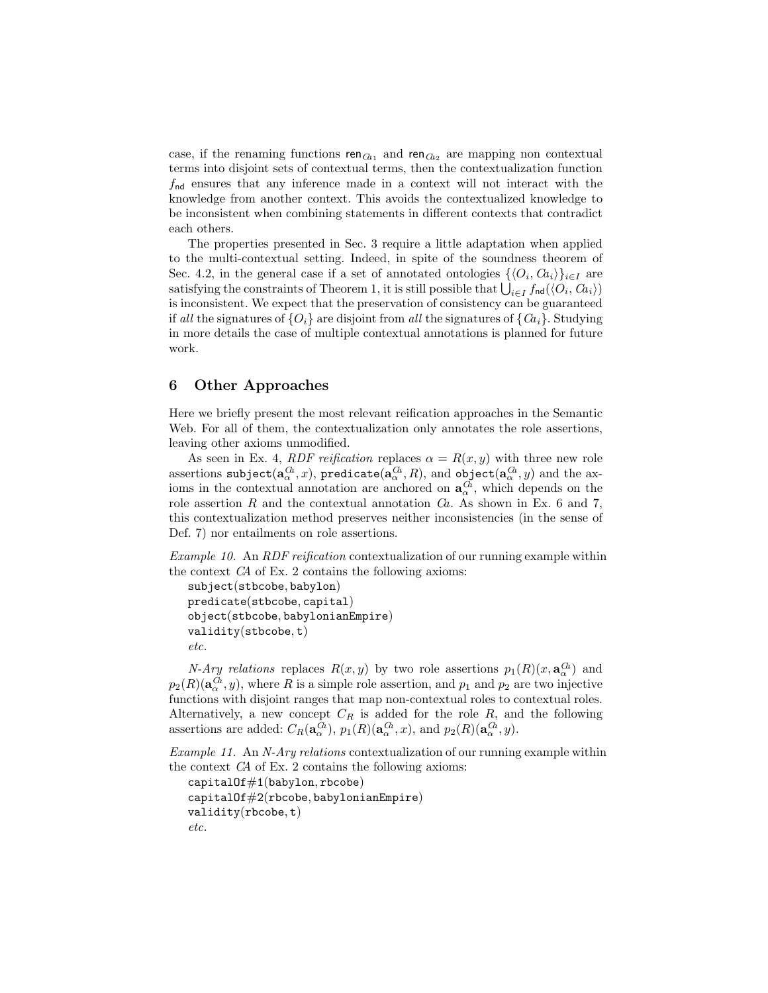case, if the renaming functions  $\text{ren}_{\textit{Ca}_1}$  and  $\text{ren}_{\textit{Ca}_2}$  are mapping non contextual terms into disjoint sets of contextual terms, then the contextualization function  $f_{\rm nd}$  ensures that any inference made in a context will not interact with the knowledge from another context. This avoids the contextualized knowledge to be inconsistent when combining statements in different contexts that contradict each others.

The properties presented in Sec. 3 require a little adaptation when applied to the multi-contextual setting. Indeed, in spite of the soundness theorem of Sec. 4.2, in the general case if a set of annotated ontologies  $\{\langle O_i, G_i \rangle\}_{i \in I}$  are satisfying the constraints of Theorem 1, it is still possible that  $\bigcup_{i\in I} f_{\sf nd}(\langle O_i, Ca_i\rangle)$ is inconsistent. We expect that the preservation of consistency can be guaranteed if all the signatures of  $\{O_i\}$  are disjoint from all the signatures of  $\{Ca_i\}$ . Studying in more details the case of multiple contextual annotations is planned for future work.

## 6 Other Approaches

Here we briefly present the most relevant reification approaches in the Semantic Web. For all of them, the contextualization only annotates the role assertions, leaving other axioms unmodified.

As seen in Ex. 4, RDF reification replaces  $\alpha = R(x, y)$  with three new role assertions  ${\tt subject}(\mathbf{a}_\alpha^{G\! a},x),\,{\tt predict}(\mathbf{a}_\alpha^{G\! a},R),\,{\tt and}\,\,{\tt object}(\mathbf{a}_\alpha^{G\! a},y)\,$  and the  ${\tt ax-}$ ioms in the contextual annotation are anchored on  $a_{\alpha}^{G}$ , which depends on the role assertion R and the contextual annotation  $Ca$ . As shown in Ex. 6 and 7, this contextualization method preserves neither inconsistencies (in the sense of Def. 7) nor entailments on role assertions.

Example 10. An RDF reification contextualization of our running example within the context CA of Ex. 2 contains the following axioms:

```
subject(stbcobe, babylon)
predicate(stbcobe, capital)
object(stbcobe, babylonianEmpire)
validity(stbcobe, t)
etc.
```
*N-Ary relations* replaces  $R(x, y)$  by two role assertions  $p_1(R)(x, \mathbf{a}_\alpha^{(L)})$  and  $p_2(R)(\mathbf{a}_{\alpha}^{G_a},y)$ , where R is a simple role assertion, and  $p_1$  and  $p_2$  are two injective functions with disjoint ranges that map non-contextual roles to contextual roles. Alternatively, a new concept  $C_R$  is added for the role  $R$ , and the following assertions are added:  $C_R(\mathbf{a}_{\alpha}^{G_a}), p_1(R)(\mathbf{a}_{\alpha}^{G_a}, x)$ , and  $p_2(R)(\mathbf{a}_{\alpha}^{G_a}, y)$ .

Example 11. An N-Ary relations contextualization of our running example within the context CA of Ex. 2 contains the following axioms:

```
capitalOf#1(babylon, rbcobe)
capitalOf#2(rbcobe, babylonianEmpire)validity(rbcobe, t)
etc.
```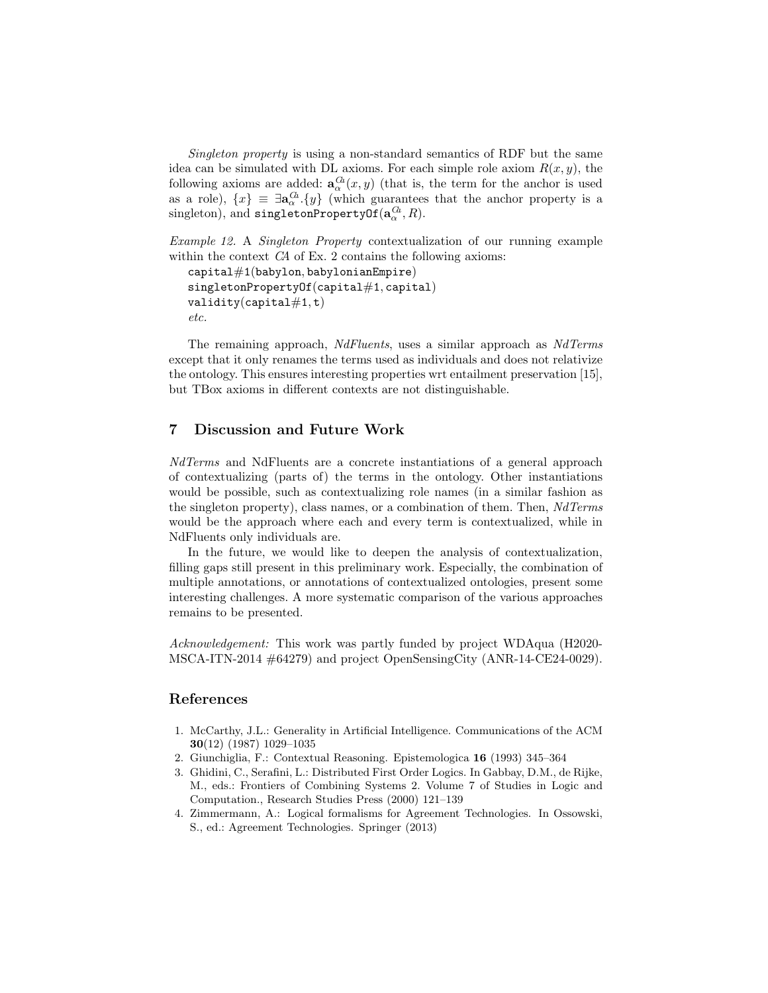Singleton property is using a non-standard semantics of RDF but the same idea can be simulated with DL axioms. For each simple role axiom  $R(x, y)$ , the following axioms are added:  $\mathbf{a}_{\alpha}^{G}(x, y)$  (that is, the term for the anchor is used as a role),  $\{x\} \equiv \exists \mathbf{a}_{\alpha}^{\alpha} \cdot \{y\}$  (which guarantees that the anchor property is a  $\text{singletonPropertyOf}(\mathbf{a}_\alpha^{Gk}, R).$ 

Example 12. A Singleton Property contextualization of our running example within the context CA of Ex. 2 contains the following axioms:

```
capital#1(babylon, babylonianEmpire)
singlet on PropertyOf(capital#1, capital)validity(capital#1, t)
etc.
```
The remaining approach, NdFluents, uses a similar approach as NdTerms except that it only renames the terms used as individuals and does not relativize the ontology. This ensures interesting properties wrt entailment preservation [15], but TBox axioms in different contexts are not distinguishable.

# 7 Discussion and Future Work

NdTerms and NdFluents are a concrete instantiations of a general approach of contextualizing (parts of) the terms in the ontology. Other instantiations would be possible, such as contextualizing role names (in a similar fashion as the singleton property), class names, or a combination of them. Then, NdTerms would be the approach where each and every term is contextualized, while in NdFluents only individuals are.

In the future, we would like to deepen the analysis of contextualization, filling gaps still present in this preliminary work. Especially, the combination of multiple annotations, or annotations of contextualized ontologies, present some interesting challenges. A more systematic comparison of the various approaches remains to be presented.

Acknowledgement: This work was partly funded by project WDAqua (H2020- MSCA-ITN-2014 #64279) and project OpenSensingCity (ANR-14-CE24-0029).

# References

- 1. McCarthy, J.L.: Generality in Artificial Intelligence. Communications of the ACM 30(12) (1987) 1029–1035
- 2. Giunchiglia, F.: Contextual Reasoning. Epistemologica 16 (1993) 345–364
- 3. Ghidini, C., Serafini, L.: Distributed First Order Logics. In Gabbay, D.M., de Rijke, M., eds.: Frontiers of Combining Systems 2. Volume 7 of Studies in Logic and Computation., Research Studies Press (2000) 121–139
- 4. Zimmermann, A.: Logical formalisms for Agreement Technologies. In Ossowski, S., ed.: Agreement Technologies. Springer (2013)